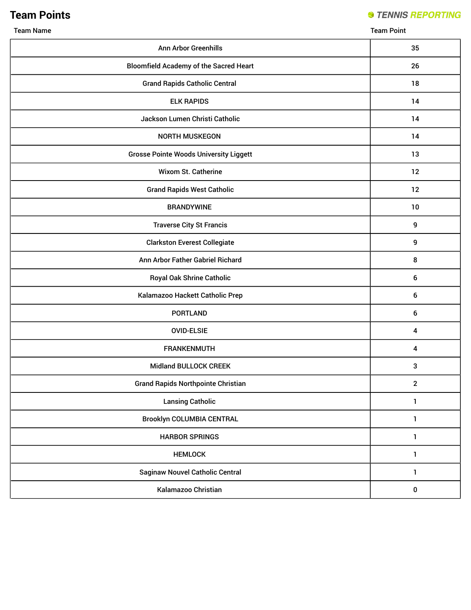# **Team Points**

### **STENNIS REPORTING**

Team Name Team Point

| <b>Ann Arbor Greenhills</b>                   | 35               |
|-----------------------------------------------|------------------|
| <b>Bloomfield Academy of the Sacred Heart</b> | 26               |
| <b>Grand Rapids Catholic Central</b>          | 18               |
| <b>ELK RAPIDS</b>                             | 14               |
| Jackson Lumen Christi Catholic                | 14               |
| <b>NORTH MUSKEGON</b>                         | 14               |
| <b>Grosse Pointe Woods University Liggett</b> | 13               |
| Wixom St. Catherine                           | 12               |
| <b>Grand Rapids West Catholic</b>             | 12               |
| <b>BRANDYWINE</b>                             | 10               |
| <b>Traverse City St Francis</b>               | 9                |
| <b>Clarkston Everest Collegiate</b>           | 9                |
| Ann Arbor Father Gabriel Richard              | 8                |
| <b>Royal Oak Shrine Catholic</b>              | 6                |
| Kalamazoo Hackett Catholic Prep               | $\boldsymbol{6}$ |
| <b>PORTLAND</b>                               | 6                |
| <b>OVID-ELSIE</b>                             | 4                |
| <b>FRANKENMUTH</b>                            | 4                |
| <b>Midland BULLOCK CREEK</b>                  | 3                |
| <b>Grand Rapids Northpointe Christian</b>     | $\mathbf{2}$     |
| <b>Lansing Catholic</b>                       | 1                |
| <b>Brooklyn COLUMBIA CENTRAL</b>              | $\mathbf{1}$     |
| <b>HARBOR SPRINGS</b>                         | 1                |
| <b>HEMLOCK</b>                                | 1                |
| <b>Saginaw Nouvel Catholic Central</b>        | 1                |
| Kalamazoo Christian                           | $\pmb{0}$        |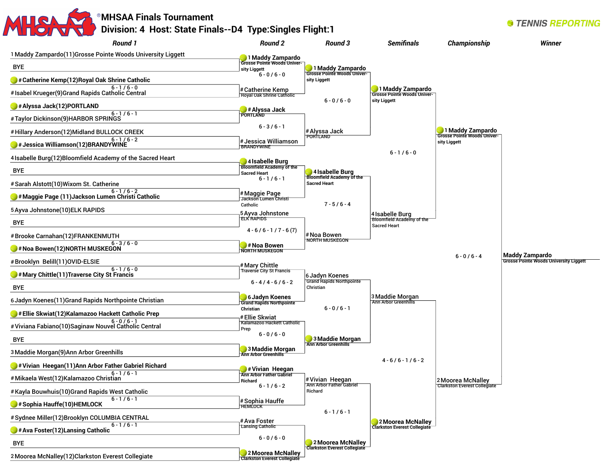

**Clarkston Everest Collegiate**

2Moorea McNalley(12)Clarkston Everest Collegiate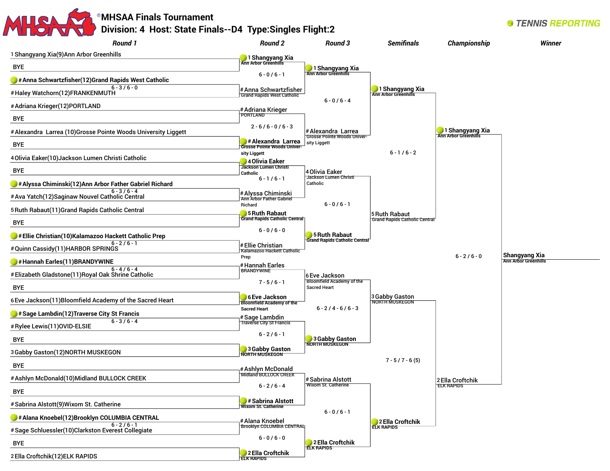### MHSAR **MHSAA Finals Tournament Division: 4 Host: State Finals--D4 Type:Singles Flight:2**

| <b>Round 1</b>                                                                    | <b>Round 2</b>                                             | Round 3                                                 | <b>Semifinals</b>                                            | <b>Championship</b>                            | <b>Winner</b>                                 |
|-----------------------------------------------------------------------------------|------------------------------------------------------------|---------------------------------------------------------|--------------------------------------------------------------|------------------------------------------------|-----------------------------------------------|
| 1 Shangyang Xia(9) Ann Arbor Greenhills                                           | 1 Shangyang Xia                                            |                                                         |                                                              |                                                |                                               |
| BYE                                                                               |                                                            | 1 Shangyang Xia                                         |                                                              |                                                |                                               |
| # Anna Schwartzfisher(12) Grand Rapids West Catholic                              | $6 - 0/6 - 1$                                              |                                                         |                                                              |                                                |                                               |
| $6 - 3 / 6 - 0$<br>#Haley Watchorn(12)FRANKENMUTH                                 | # Anna Schwartzfisher<br><b>Grand Rapids West Catholic</b> |                                                         | 1 Shangyang Xia                                              |                                                |                                               |
| #Adriana Krieger(12)PORTLAND                                                      |                                                            | $6 - 0/6 - 4$                                           |                                                              |                                                |                                               |
| <b>BYE</b>                                                                        | # Adriana Krieger<br>PORTLAND                              |                                                         |                                                              |                                                |                                               |
| # Alexandra Larrea (10) Grosse Pointe Woods University Liggett                    | $2 - 6/6 - 0/6 - 3$                                        | #Alexandra Larrea<br><b>Grosse Pointe Woods Univer-</b> |                                                              | 1 Shangyang Xia<br><b>Ann Arbor Greenhills</b> |                                               |
| <b>BYE</b>                                                                        | #Alexandra Larrea<br><b>Grosse Pointe Woods Univer-</b>    | sity Liggett                                            |                                                              |                                                |                                               |
| 4 Olivia Eaker(10) Jackson Lumen Christi Catholic                                 | sity Liggett<br>4 Olivia Eaker                             |                                                         | $6 - 1/6 - 2$                                                |                                                |                                               |
| <b>BYE</b>                                                                        | <b>Jackson Lumen Christi</b><br>Catholic                   | 4 Olivia Eaker                                          |                                                              |                                                |                                               |
| # Alyssa Chiminski(12) Ann Arbor Father Gabriel Richard                           | $6 - 1/6 - 1$                                              | Jackson Lumen Christi<br>Catholic                       |                                                              |                                                |                                               |
| $6 - 3 / 6 - 4$<br># Ava Yatch(12) Saginaw Nouvel Catholic Central                | # Alyssa Chiminski<br><b>Ann Arbor Father Gabriel</b>      |                                                         |                                                              |                                                |                                               |
| 5 Ruth Rabaut(11) Grand Rapids Catholic Central                                   | Richard                                                    | $6 - 0/6 - 1$                                           |                                                              |                                                |                                               |
| <b>BYE</b>                                                                        | 5 Ruth Rabaut<br><b>Grand Rapids Catholic Central</b>      |                                                         | <b>5 Ruth Rabaut</b><br><b>Grand Rapids Catholic Central</b> |                                                |                                               |
| Ellie Christian(10)Kalamazoo Hackett Catholic Prep                                | $6 - 0/6 - 0$                                              | 5 Ruth Rabaut                                           |                                                              |                                                |                                               |
| $6 - 2/6 - 1$<br>#Quinn Cassidy(11)HARBOR SPRINGS                                 | # Ellie Christian<br>Kalamazoo Hackett Catholic            | <b>Grand Rapids Catholic Central</b>                    |                                                              |                                                |                                               |
| #Hannah Earles(11)BRANDYWINE                                                      | Prep                                                       |                                                         |                                                              | $6 - 2/6 - 0$                                  | <b>Shangyang Xia<br/>Ann Arbor Greenhills</b> |
| $6 - 4/6 - 4$<br>#Elizabeth Gladstone(11)Royal Oak Shrine Catholic                | #Hannah Earles<br><b>BRANDYWINE</b>                        | 6 Eve Jackson                                           |                                                              |                                                |                                               |
| <b>BYE</b>                                                                        | $7 - 5/6 - 1$                                              | Bloomfield Academy of the<br><b>Sacred Heart</b>        |                                                              |                                                |                                               |
| 6 Eve Jackson(11) Bloomfield Academy of the Sacred Heart                          | 6 Eve Jackson                                              |                                                         | 3 Gabby Gaston                                               |                                                |                                               |
|                                                                                   | <b>Bloomfield Academy of the</b><br><b>Sacred Heart</b>    | $6 - 2/4 - 6/6 - 3$                                     | NORTH MUSKEGON                                               |                                                |                                               |
| $\bigtriangledown$ # Sage Lambdin(12) Traverse City St Francis<br>$6 - 3 / 6 - 4$ | # Sage Lambdin<br><b>Traverse City St Francis</b>          |                                                         |                                                              |                                                |                                               |
| # Rylee Lewis(11) OVID-ELSIE                                                      | $6 - 2 / 6 - 1$                                            |                                                         |                                                              |                                                |                                               |
| <b>BYE</b>                                                                        |                                                            | 3 Gabby Gaston                                          |                                                              |                                                |                                               |
| 3 Gabby Gaston(12) NORTH MUSKEGON                                                 | 3 Gabby Gaston                                             |                                                         |                                                              |                                                |                                               |
| <b>BYE</b>                                                                        |                                                            |                                                         | $7 - 5 / 7 - 6 (5)$                                          |                                                |                                               |
| #Ashlyn McDonald(10)Midland BULLOCK CREEK                                         | # Ashlyn McDonald<br>Midland BULLOCK CREEK                 |                                                         |                                                              |                                                |                                               |
| <b>BYE</b>                                                                        | $6 - 2 / 6 - 4$                                            | # Sabrina Alstott<br>Wixom St. Catherine                |                                                              | 2 Ella Croftchik<br><b>ELK RAPIDS</b>          |                                               |
| # Sabrina Alstott(9) Wixom St. Catherine                                          | #Sabrina Alstott                                           |                                                         |                                                              |                                                |                                               |
| # Alana Knoebel(12) Brooklyn COLUMBIA CENTRAL                                     | <b>Wixom St. Catherine</b>                                 | $6 - 0/6 - 1$                                           |                                                              |                                                |                                               |
| $6 - 2/6 - 1$                                                                     | # Alana Knoebel<br><b>Brooklyn COLUMBIA CENTRAL</b>        |                                                         | 2 Ella Croftchik<br><b>ELK RAPIDS</b>                        |                                                |                                               |
| #Sage Schluessler(10)Clarkston Everest Collegiate                                 | $6 - 0 / 6 - 0$                                            |                                                         |                                                              |                                                |                                               |
| <b>BYE</b>                                                                        |                                                            | 2 Ella Croftchik<br><b>ELK RAPIDS</b>                   |                                                              |                                                |                                               |
| 2 Ella Croftchik(12) ELK RAPIDS                                                   | 2 Ella Croftchik<br><b>ELK RAPIDS</b>                      |                                                         |                                                              |                                                |                                               |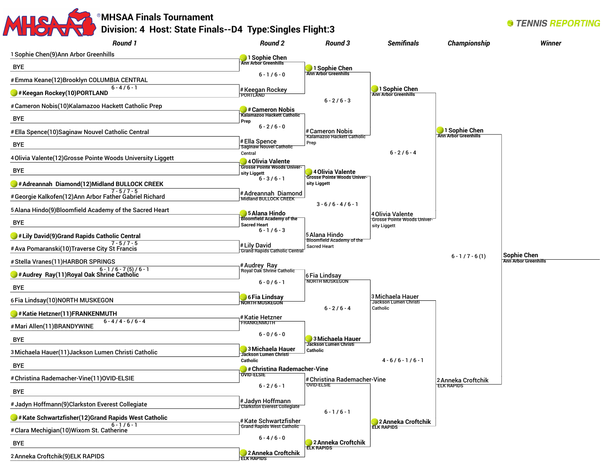## **MHSAA Finals Tournament Division: 4 Host: State Finals--D4 Type:Singles Flight:3**

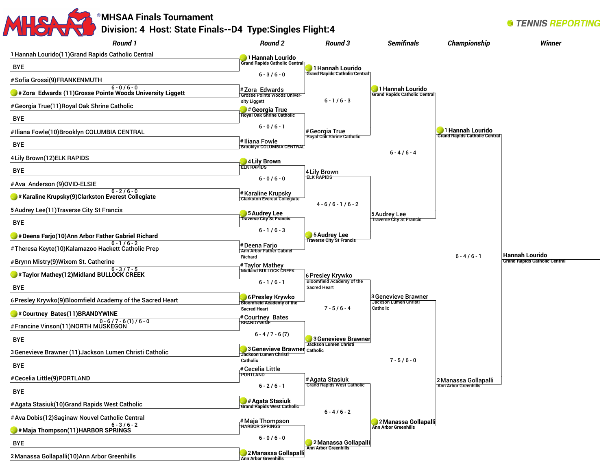#### MHSA **MHSAA Finals Tournament Division: 4 Host: State Finals--D4 Type:Singles Flight:4**

| <b>Round 1</b>                                                                                  | Round 2                                                      | Round 3                                              | <b>Semifinals</b>                                        | <b>Championship</b>                  | <b>Winner</b>                        |
|-------------------------------------------------------------------------------------------------|--------------------------------------------------------------|------------------------------------------------------|----------------------------------------------------------|--------------------------------------|--------------------------------------|
| 1 Hannah Lourido(11) Grand Rapids Catholic Central                                              | 1 Hannah Lourido                                             |                                                      |                                                          |                                      |                                      |
| BYE                                                                                             | <b>Grand Rapids Catholic Central</b>                         | 1 Hannah Lourido                                     |                                                          |                                      |                                      |
| #Sofia Grossi(9)FRANKENMUTH                                                                     | $6 - 3 / 6 - 0$                                              | <b>Grand Rapids Catholic Central</b>                 |                                                          |                                      |                                      |
| $6 - 0/6 - 0$<br>$\blacktriangleright$ #Zora Edwards (11)Grosse Pointe Woods University Liggett | #Zora Edwards<br><b>Grosse Pointe Woods Univer-</b>          |                                                      | 1 Hannah Lourido<br><b>Grand Rapids Catholic Central</b> |                                      |                                      |
| #Georgia True(11) Royal Oak Shrine Catholic                                                     | sity Liggett                                                 | $6 - 1/6 - 3$                                        |                                                          |                                      |                                      |
| <b>BYE</b>                                                                                      | # Georgia True<br>Royal Oak Shrine Catholic                  |                                                      |                                                          |                                      |                                      |
| #Iliana Fowle(10)Brooklyn COLUMBIA CENTRAL                                                      | $6 - 0/6 - 1$                                                | # Georgia True                                       |                                                          | <b>1 Hannah Lourido</b>              |                                      |
| <b>BYE</b>                                                                                      | #Iliana Fowle<br><b>Brooklyn COLUMBIA CENTRAL</b>            | <b>Royal Oak Shrine Catholic</b>                     |                                                          | <b>Grand Rapids Catholic Central</b> |                                      |
| 4 Lily Brown(12) ELK RAPIDS                                                                     |                                                              |                                                      | $6 - 4/6 - 4$                                            |                                      |                                      |
| <b>BYE</b>                                                                                      | 4 Lily Brown<br><b>ELK RAPIDS</b>                            | 4 Lily Brown                                         |                                                          |                                      |                                      |
| #Ava Anderson (9)OVID-ELSIE                                                                     | $6 - 0/6 - 0$                                                | <b>ELK RAPIDS</b>                                    |                                                          |                                      |                                      |
| $6 - 2/6 - 0$<br>$\blacktriangleright$ # Karaline Krupsky(9)Clarkston Everest Collegiate        | # Karaline Krupsky                                           |                                                      |                                                          |                                      |                                      |
|                                                                                                 | <b>Clarkston Everest Collegiate</b>                          | $4 - 6/6 - 1/6 - 2$                                  |                                                          |                                      |                                      |
| 5 Audrey Lee(11) Traverse City St Francis                                                       | 5 S Audrey Lee<br><b>Traverse City St Francis</b>            |                                                      | 5 Audrey Lee<br><b>Traverse City St Francis</b>          |                                      |                                      |
| <b>BYE</b>                                                                                      | $6 - 1/6 - 3$                                                |                                                      |                                                          |                                      |                                      |
| # Deena Farjo(10)Ann Arbor Father Gabriel Richard<br>$6 - 1/6 - 2$                              | #Deena Farjo                                                 | 5 Audrey Lee<br><b>Traverse City St Francis</b>      |                                                          |                                      |                                      |
| #Theresa Keyte(10)Kalamazoo Hackett Catholic Prep                                               | Ann Arbor Father Gabriel<br>Richard                          |                                                      |                                                          | $6 - 4/6 - 1$                        | <b>Hannah Lourido</b>                |
| #Brynn Mistry(9)Wixom St. Catherine                                                             | # Taylor Mathey<br>Midland BULLOCK CREEK                     |                                                      |                                                          |                                      | <b>Grand Rapids Catholic Central</b> |
| Faylor Mathey(12)Midland BULLOCK CREEK                                                          | $6 - 1/6 - 1$                                                | 6 Presley Krywko<br><b>Bloomfield Academy of the</b> |                                                          |                                      |                                      |
| BYE                                                                                             |                                                              | <b>Sacred Heart</b>                                  |                                                          |                                      |                                      |
| 6 Presley Krywko(9) Bloomfield Academy of the Sacred Heart                                      | 6 Presley Krywko<br><b>Bloomfield Academy of the</b>         |                                                      | 3 Genevieve Brawner<br>Jackson Lumen Christi             |                                      |                                      |
| #Courtney Bates(11)BRANDYWINE                                                                   | <b>Sacred Heart</b><br>#Courtney Bates                       | $7 - 5/6 - 4$                                        | Catholic                                                 |                                      |                                      |
| $0 - 6 / 7 - 6 (1) / 6 - 0$<br>#Francine Vinson(11)NORTH MUSKEGON                               | <b>BRANDYWINE</b>                                            |                                                      |                                                          |                                      |                                      |
| <b>BYE</b>                                                                                      | $6 - 4 / 7 - 6 (7)$                                          | 3 Genevieve Brawner<br><b>Jackson Lumen Christi</b>  |                                                          |                                      |                                      |
| 3 Genevieve Brawner (11) Jackson Lumen Christi Catholic                                         | 3 Genevieve Brawner Catholic<br><b>Jackson Lumen Christi</b> |                                                      |                                                          |                                      |                                      |
| <b>BYE</b>                                                                                      | Catholic<br># Cecelia Little                                 |                                                      | $7 - 5/6 - 0$                                            |                                      |                                      |
| # Cecelia Little(9)PORTLAND                                                                     | PORTLAND                                                     | # Agata Stasiuk                                      |                                                          | 2 Manassa Gollapalli                 |                                      |
| <b>BYE</b>                                                                                      | $6 - 2 / 6 - 1$                                              | <b>Grand Rapids West Catholic</b>                    |                                                          | <b>Ann Arbor Greenhills</b>          |                                      |
| # Agata Stasiuk(10) Grand Rapids West Catholic                                                  | <b>State Stasiuk</b><br>Grand Rapids West Catholic           |                                                      |                                                          |                                      |                                      |
| # Ava Dobis(12) Saginaw Nouvel Catholic Central                                                 |                                                              | $6 - 4 / 6 - 2$                                      |                                                          |                                      |                                      |
| $6 - 3 / 6 - 2$<br>$\blacktriangleright$ #Maja Thompson(11)HARBOR SPRINGS                       | # Maja Thompson<br>HARBOR SPRINGS                            |                                                      | 2 Manassa Gollapalli<br><b>Ann Arbor Greenhills</b>      |                                      |                                      |
| <b>BYE</b>                                                                                      | $6 - 0 / 6 - 0$                                              | 2 Manassa Gollapalli                                 |                                                          |                                      |                                      |
| 2 Manassa Gollapalli(10) Ann Arbor Greenhills                                                   | 2 Manassa Gollapalli<br><b>Ann Arbor Greenhills</b>          | <b>Ann Arbor Greenhills</b>                          |                                                          |                                      |                                      |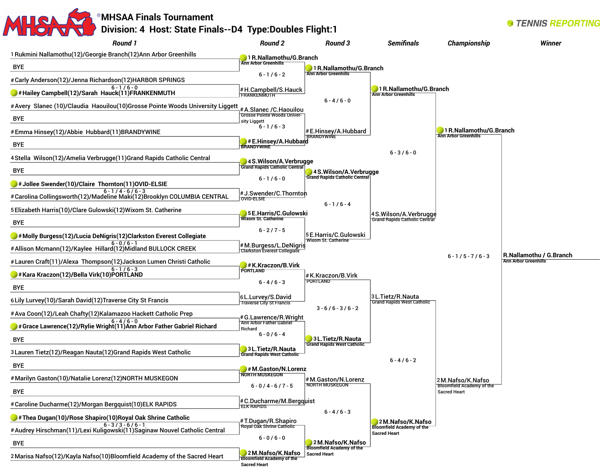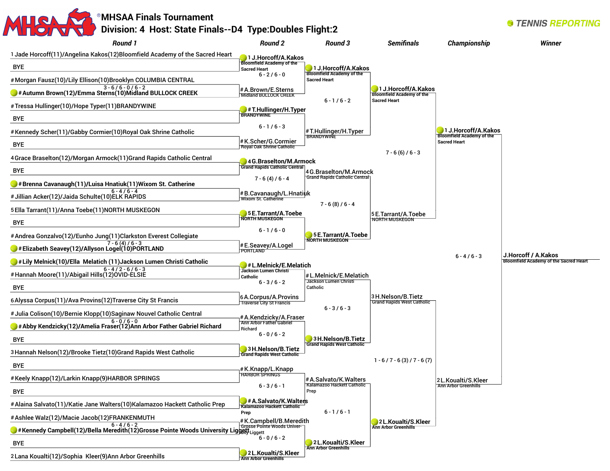

2 Lana Koualti(12)/Sophia Kleer(9)Ann Arbor Greenhills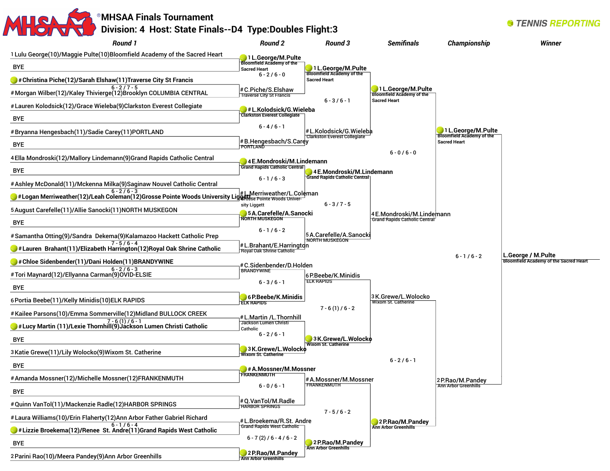

**Ann Arbor Greenhills**

2Parini Rao(10)/Meera Pandey(9)Ann Arbor Greenhills